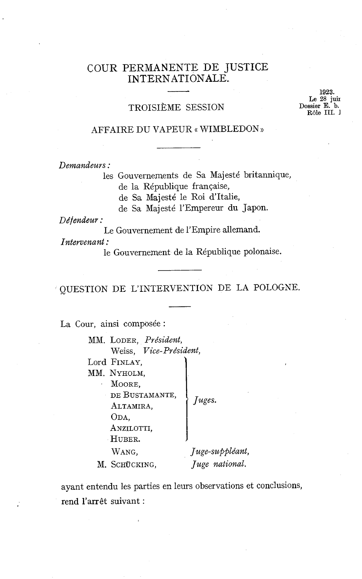# COUR PERMANENTE DE JUSTICE INTERNATIONALE.

### TROISIÈME SESSION

**1923. Le** 28 **juir Dossier E. b. Rôle** III. **<sup>1</sup>**

## AFFAIRE DU VAPEUR « WIMBLEDON »

Demandeurs :

les Gouvernements de Sa Majesté britannique, de la République française,

de Sa Majesté le Roi d'Italie,

de Sa Majesté l'Empereur du Japon.

Défendeuv :

Le Gouvernement de l'Empire allemand.

Intervenant :

le Gouvernement de la République polonaise.

QUESTION DE L'INTERVENTION DE LA POLOGNE.

La Cour, ainsi composée :

MM. LODER, Président, Weiss, Vice-Président, Lord FINLAY, MM. NYHOLM, MOORE.  $\mathcal{L}^{(1)}$ DE BUSTAMANTE, Juges. ODA, ANZILOTTI,  $\mathbf{I}$ HUBER. Juge-suppléant, WANG, M. SCHÜCKING, Juge national.

ayant entendu les parties en leurs observations et conclusions, rend l'arrêt suivant :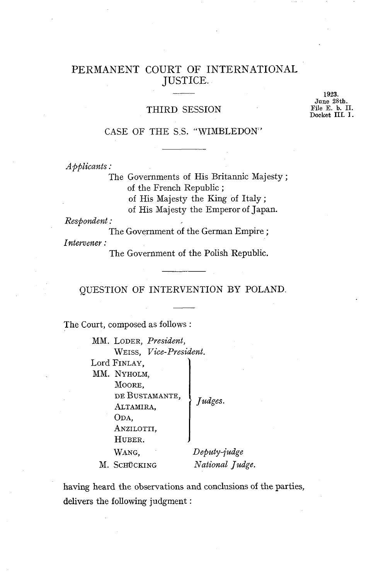# PERMANENT COURT OF INTERNATIONAL JUSTICE.

### THIRD SESSION

1923 June 28th. File E. b. II. Docket III. 1.

#### CASE OF THE S.S. "WIMBLEDON"

*Afiplicants* :

The Governments of His Britannic Majesty ; of the French Republic ;

of His Majesty the King of Italy ;

of His Majesty the Emperor of Japan.

*Resfiondent* :

The Government of the German Empire ;

 $\emph{Intervener}$ :

The Government of the Polish Republic.

## QUESTION OF INTERVENTION BY POLAND.

The Court, composed as follows :

| MM. LODER, President,  |                 |
|------------------------|-----------------|
| WEISS, Vice-President. |                 |
| Lord Finlay,           |                 |
| MM. NYHOLM,            |                 |
| MOORE.                 |                 |
| DE BUSTAMANTE,         | Judges.         |
| ALTAMIRA,              |                 |
| ODA.                   |                 |
| ANZILOTTI,             |                 |
| HUBER.                 |                 |
| WANG.                  | Deputy-judge    |
| M. Schücking           | National Judge. |

having heard the observations and conclusions of the parties, delivers the following judgment :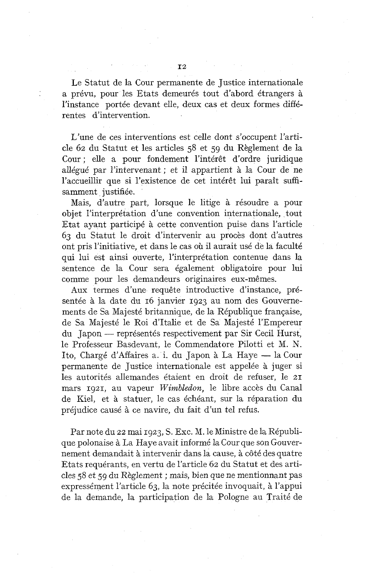Le Statut de la Cour permanente de Justice internationale a prévu, pour les Etats demeurés tout d'abord étrangers à l'instance portée devant elle, deux cas et deux formes différentes d'intervention.

L'une de ces interventions est celle dont s'occupent l'article 62 du Statut et les articles 58 et 59 du Règlement de la Cour ; elle a pour fondement l'intérêt d'ordre juridique allégué par l'intervenant ; et il appartient à la Cour de ne l'accueillir que si l'existence de cet intérêt lui parait suffisamment justifiée.

Mais, d'autre part, lorsque le litige à résoudre a pour objet l'interprétation d'une convention internationale, tout Etat ayant participé à cette convention puise dans l'article 63 du Statut le droit d'intervenir au procès dont d'autres ont pris l'initiative, et dans le cas où il aurait usé de la faculté qui lui est ainsi ouverte, l'interprétation contenue dans la sentence de la Cour sera également obligatoire pour lui comme pour les demandeurs originaires eux-mêmes.

Aux termes d'une requête introductive d'instance, présentée à la date du 16 janvier 1923 au nom des Gouvernements de Sa Majesté britannique, de la République française, de Sa Majesté le Roi d'Italie et de Sa Majesté l'Empereur du Japon — représentés respectivement par Sir Cecil Hurst, le Professeur Basdevant, le Commendatore Pilotti et M. N. Ito, Chargé d'Affaires a. i. du Japon à La Haye — la Cour permanente de Justice internationale est appelée à juger si les autorités a1Iemandes étaient en droit de refuser, le 21 mars 1921, au vapeur *Wimbledon*, le libre accès du Canal de Kiel, et à statuer, le cas échéant, sur la réparation du préjudice causé à ce navire, du fait d'un tel refus.

Par note du 22 mai 1923, S. Exc. M. le Ministre de la République polonaise à La Haye avait informé la Cour que son Gouvernement demandait à intervenir dans la cause, à côté des quatre Etats requérants, en vertu de l'article 62 du Statut et des articles 58 et 59 du Règlement ; mais, bien que ne mentionnant pas expressément l'article 63, la note précitée invoquait, à l'appui de la demande, la participation de la Pologne au Traité de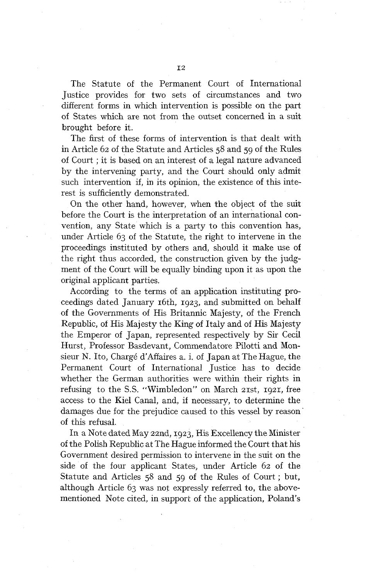The Statute of the Permanent Court of International Justice provides for two sets of circumstances and two different forms in which intervention is possible on the part of States which are not from the outset concerned in a suit brought before it.

The first of these forms of intervention is that dealt with in Article 62 of the Statute and Articles 58 and 59 of the Rules of Court ; it is based on an interest of a legal nature advanced by the intervening party, and the Court should only admit such intervention if, in its opinion, the existence of this interest is sufficiently demonstrated.

On the other hand, however, when the object of the suit before the Court is the interpretation of an international convention, any state which is a party to this convention has, under Article 63 of the Statute, the right to intervene in the proceedings instituted by others and, should it make use of the right thus accorded, the construction given by the judgment of the Court will be equally binding upon it as upon the original applicant parties.

According to the terms of an application instituting proceedings dated January 16th, 1923, and submitted on behalf of the Governments of His Britannic Majesty, of the French Republic, of His Majesty the King of Italy and of His Majeçty the Emperor of Japan, represented respectively by Sir Cecil Hurst, Professor Basdevant, Commendatore Pilotti and Monsieur N. Ito, Chargé d'Affaires a. i. of Japan at The Hague, the Permanent Court of International Justice has to decide whether the German authorities were within their rights in refusing to the S.S. "Wimbledon" on March 21st, 1921, free access to the Kiel Canal, and, if necessary, to determine the damages due for the prejudice caused to this vessel by reason of this refusal.

In a Note dated May zznd, 1923, His Excellency the Minister of the Polish Republic at The Hague informed the Court that his Government desired permission to intervene in the suit on the side of the four applicant States, under Article 62 of the Statute and Articles 58 and 59 of the Rules of Court ; but, although Article 63 was not expressly referred to, the abovementioned Note cited, in support of the application, Poland's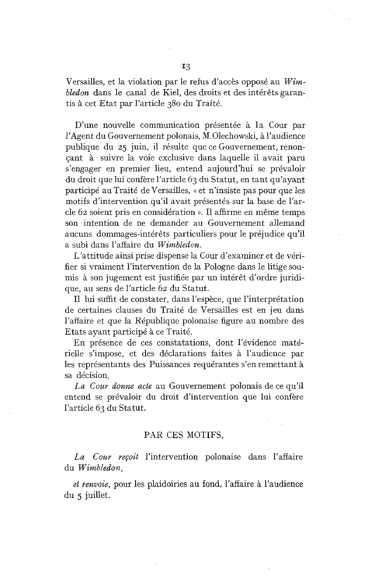Versailles, et la violation par le refus d'accès opposé au *Wimbledon* dans le canal de Kiel, des droits et des intérêts garantis à cet Etat par l'article *380* du Traité.

D'une nouvelle communication présentée à la Cour par l'Agent du Gouvernement polonais, M.Olechowski, à l'audience publique du *25* juin, il résulte que ce Gouvernement, renonçant à suivre la voie exclusive dans laquelle il avait paru s'engager en premier lieu, entend aujourd'hui se prévaloir du droit que lui confère l'article *63* du Statut, en tant qu'ayant participé au Traité de Versailles, « et n'insiste pas pour que les motifs d'intervention qu'il avait présentés sur la base de l'arcle *62* soient pris en considération )). Il affirme en même temps son intention de ne demander au Gouvernement allemand aucuns dommages-intérêts particuliers pour le préjudice qu'il a subi dans l'affaire du *Wimbledon.* 

L'attitude ainsi prise dispense la Cour d'examiner et de vérifier si vraiment l'intervention de la Pologne dans le litige soumis à son jugement est justifiée par un intérêt d'ordre juridique, au sens de l'article *62* du Statut.

Il lui suffit de constater, dans l'espèce, que l'interprétation de certaines clauses du Traité de Versailles est en jeu dans l'affaire et que la République polonaise figure au nombre des Etats ayant participé à ce Traité.

En présence de ces constatations, dont l'évidence matérielle s'impose, et des déclarations faites à l'audience par les représentants des Puissances requérantes s'en remettant à sa décision,

La *Cour donne acte* au Gouvernement polonais de ce qu'il entend se prévaloir du droit d'intervention que lui confère l'article *63* du Statut.

#### PAR CES MOTIFS,

*La Cour regoit* l'intervention polonaise dans l'affaire du *Wimbledon,* 

*et renvoie,* pour les plaidoiries au fond, l'affaire à l'audience du 5 juillet.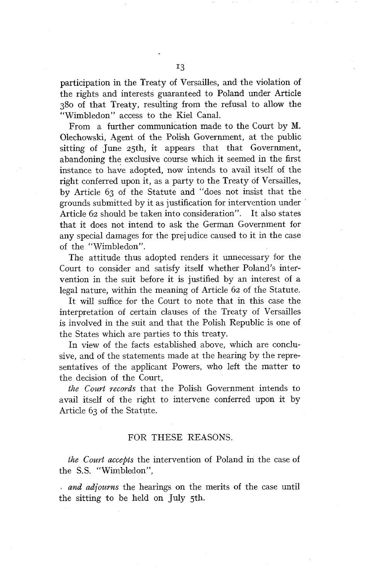participation in the Treaty of Versailles, and the violation of the rights and interests guaranteed to Poland under Article 380 of that Treaty, resulting from the refusa1 to allow the "Wimbledon" access to the Kiel Canal.

From a further communication made to the Court by M. Olechowski, Agent of the Polish Government, at the public sitting of June 25th, it appears that that Government, abandoning the exclusive course which it seemed in the first instance to have adopted, now intends to avail itself of the right conferred upon it, as a party to the Treaty of Versailles, by Article 63 of the Statute and "does not insist that the grounds submitted by it as justification for intervention under Article 62 should be taken into consideration". It also states that it does not intend to ask the German Government for any special damages for the prej udice caused to it in the case of the "Wimbledon".

The attitude thus adopted renders it unnecessary for the Court to consider and satisfy itself whether Poland's intervention in the suit before it is justified by an interest of a legal nature, within the meaning of Article 62 of the Statute.

It will suffice for the Court to note that in this case the interpretation of certain clauses of the Treaty of Versailles is involved in the suit and that the Polish Republic is one of the States which are parties to this treaty.

In view of the facts established above, which are conclusive, and of the statements made at the hearing by the representatives of the applicant Powers, who left the matter to the decision of the Court,

*the Court records* that the Polish Government intends to avail itself of the right to intervene conferred upon it by Article 63 of the Statute.

#### FOR THESE REASONS.

*the Court accepts* the intervention of Poland in the case of the S.S. "Wim.bledon",

. *and adjourns* the hearings on the merits of the case until the sitting to be held on July 5th.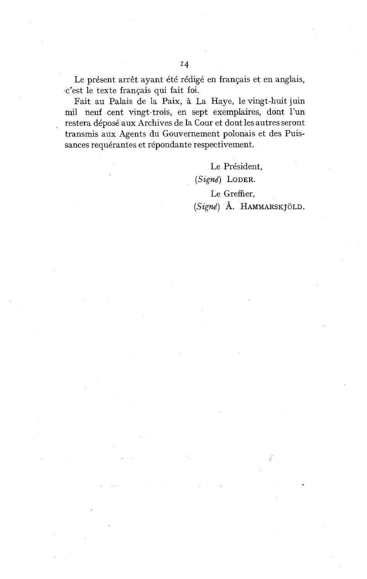Le présent arrêt ayant été rédigé en français et en anglais, c'est le texte français qui fait foi.

Fait au Palais de la Paix, à La Haye, le vingt-huit juin mil neuf cent vingt-trois, en sept exemplaires, dont l'un restera déposé aux Archives de la Cour et dont les autres seront transmis aux Agents du Gouvernement polonais et des Puissances requérantes et répondante respectivement.

> Le Président, (Signé) LODER. Le Greffier, (Signé) A. **HAMMARSK** JOLD.